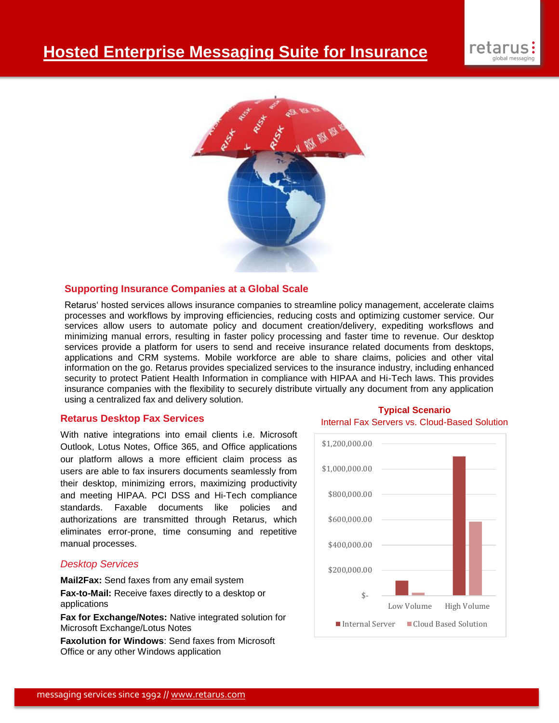

## **Supporting Insurance Companies at a Global Scale**

Retarus' hosted services allows insurance companies to streamline policy management, accelerate claims processes and workflows by improving efficiencies, reducing costs and optimizing customer service. Our services allow users to automate policy and document creation/delivery, expediting worksflows and minimizing manual errors, resulting in faster policy processing and faster time to revenue. Our desktop services provide a platform for users to send and receive insurance related documents from desktops, applications and CRM systems. Mobile workforce are able to share claims, policies and other vital information on the go. Retarus provides specialized services to the insurance industry, including enhanced security to protect Patient Health Information in compliance with HIPAA and Hi-Tech laws. This provides insurance companies with the flexibility to securely distribute virtually any document from any application using a centralized fax and delivery solution.

## **Retarus Desktop Fax Services**

With native integrations into email clients i.e. Microsoft Outlook, Lotus Notes, Office 365, and Office applications our platform allows a more efficient claim process as users are able to fax insurers documents seamlessly from their desktop, minimizing errors, maximizing productivity and meeting HIPAA. PCI DSS and Hi-Tech compliance standards. Faxable documents like policies and authorizations are transmitted through Retarus, which eliminates error-prone, time consuming and repetitive manual processes.

## *Desktop Services*

**Mail2Fax:** Send faxes from any email system

**Fax-to-Mail:** Receive faxes directly to a desktop or applications

**Fax for Exchange/Notes:** Native integrated solution for Microsoft Exchange/Lotus Notes

**Faxolution for Windows**: Send faxes from Microsoft Office or any other Windows application

## **Typical Scenario**

Internal Fax Servers vs. Cloud-Based Solution